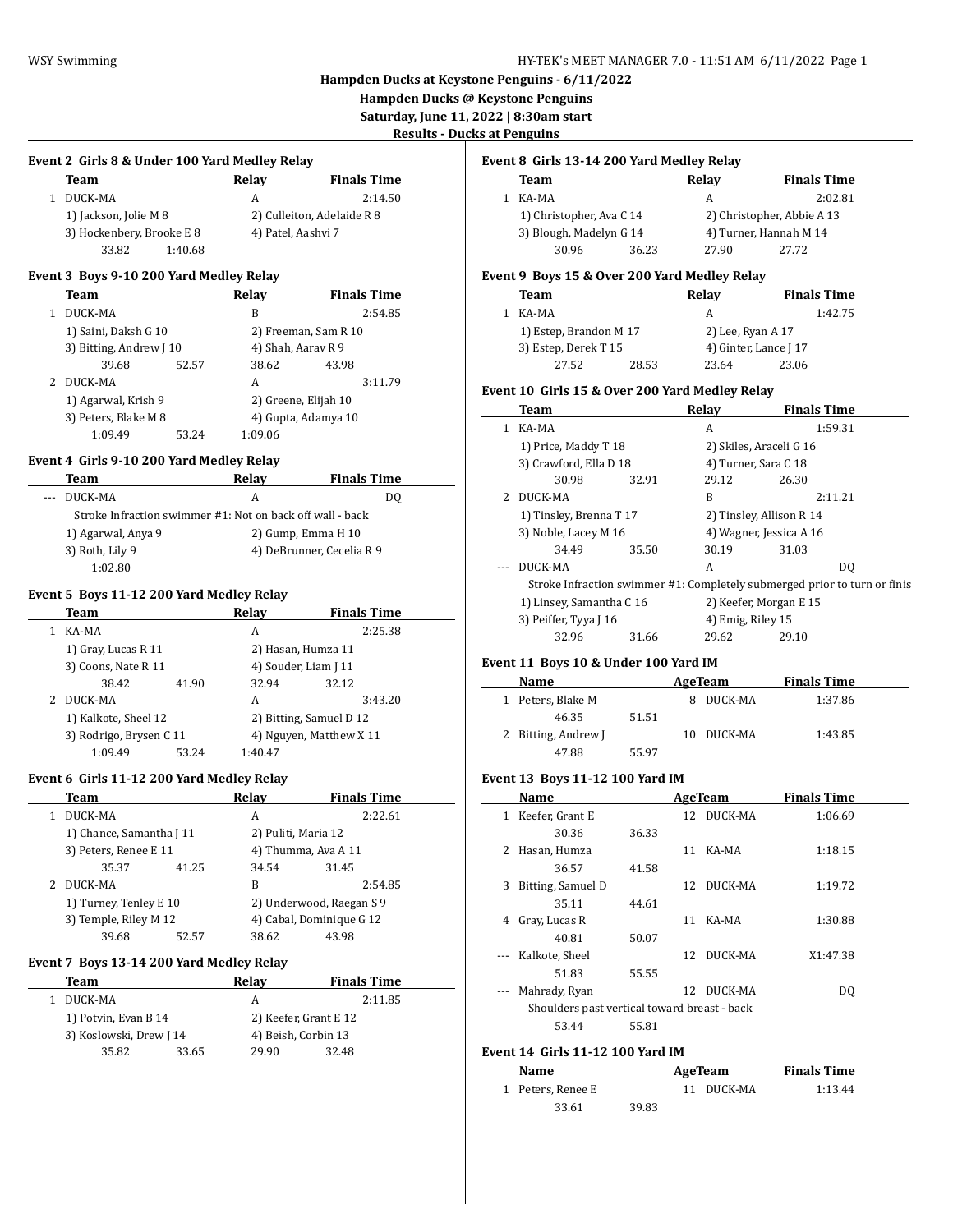**Hampden Ducks @ Keystone Penguins**

**Saturday, June 11, 2022 | 8:30am start**

 $\overline{\phantom{a}}$ 

 $\overline{\phantom{0}}$ 

**Results - Ducks at Penguins**

| Event 2 Girls 8 & Under 100 Yard Medley Relay |           |       |                    |
|-----------------------------------------------|-----------|-------|--------------------|
|                                               | Team      | Relav | <b>Finals Time</b> |
|                                               | 1 DUCK-MA |       | 2:14.50            |

| 1 DUUN PIIN               |         |                            | <u>.</u> |
|---------------------------|---------|----------------------------|----------|
| 1) Jackson, Jolie M 8     |         | 2) Culleiton, Adelaide R 8 |          |
| 3) Hockenbery, Brooke E 8 |         | 4) Patel, Aashvi 7         |          |
| 33.82                     | 1:40.68 |                            |          |

### **Event 3 Boys 9-10 200 Yard Medley Relay**

| Team                    |       | Relav                | <b>Finals Time</b>   |  |
|-------------------------|-------|----------------------|----------------------|--|
| DUCK-MA                 |       | B                    | 2:54.85              |  |
| 1) Saini, Daksh G 10    |       | 2) Freeman, Sam R 10 |                      |  |
| 3) Bitting, Andrew J 10 |       |                      | 4) Shah, Aaray R 9   |  |
| 39.68                   | 52.57 | 38.62                | 43.98                |  |
| DUCK-MA                 |       | A                    | 3:11.79              |  |
| 1) Agarwal, Krish 9     |       |                      | 2) Greene, Elijah 10 |  |
| 3) Peters, Blake M 8    |       |                      | 4) Gupta, Adamya 10  |  |
| 1:09.49                 | 53.24 | 1:09.06              |                      |  |

# **Event 4 Girls 9-10 200 Yard Medley Relay**

| Team                                                      | Relav                     | <b>Finals Time</b> |  |  |  |
|-----------------------------------------------------------|---------------------------|--------------------|--|--|--|
| DUCK-MA                                                   | А                         | DO                 |  |  |  |
| Stroke Infraction swimmer #1: Not on back off wall - back |                           |                    |  |  |  |
| 1) Agarwal, Anya 9                                        | 2) Gump, Emma H 10        |                    |  |  |  |
| 3) Roth, Lily 9                                           | 4) DeBrunner, Cecelia R 9 |                    |  |  |  |
| 1:02.80                                                   |                           |                    |  |  |  |

#### **Event 5 Boys 11-12 200 Yard Medley Relay**

|  | Team                                            |       | Relay                   |       | <b>Finals Time</b> |
|--|-------------------------------------------------|-------|-------------------------|-------|--------------------|
|  | KA-MA                                           |       | A                       |       | 2:25.38            |
|  | 1) Gray, Lucas R 11                             |       | 2) Hasan, Humza 11      |       |                    |
|  | 3) Coons, Nate R 11                             |       | 4) Souder, Liam J 11    |       |                    |
|  | 38.42                                           | 41.90 | 32.94                   | 32.12 |                    |
|  | DUCK-MA                                         |       | A                       |       | 3:43.20            |
|  | 1) Kalkote, Sheel 12<br>3) Rodrigo, Brysen C 11 |       | 2) Bitting, Samuel D 12 |       |                    |
|  |                                                 |       | 4) Nguyen, Matthew X 11 |       |                    |
|  | 1:09.49                                         | 53.24 | 1:40.47                 |       |                    |

# **Event 6 Girls 11-12 200 Yard Medley Relay**

 $\overline{a}$ 

L

|  | Team                                            |       | Relav                    | <b>Finals Time</b>       |  |
|--|-------------------------------------------------|-------|--------------------------|--------------------------|--|
|  | DUCK-MA                                         |       | A                        | 2:22.61                  |  |
|  | 1) Chance, Samantha J 11                        |       | 2) Puliti, Maria 12      |                          |  |
|  | 3) Peters, Renee E 11                           |       | 4) Thumma, Ava A 11      |                          |  |
|  | 35.37                                           | 41.25 | 34.54                    | 31.45                    |  |
|  | DUCK-MA                                         |       | B                        | 2:54.85                  |  |
|  | 1) Turney, Tenley E 10<br>3) Temple, Riley M 12 |       |                          | 2) Underwood, Raegan S 9 |  |
|  |                                                 |       | 4) Cabal, Dominique G 12 |                          |  |
|  | 39.68                                           | 52.57 | 38.62                    | 43.98                    |  |

#### **Event 7 Boys 13-14 200 Yard Medley Relay**

| Team                    |       | Relav               | <b>Finals Time</b>    |
|-------------------------|-------|---------------------|-----------------------|
| DUCK-MA                 |       | А                   | 2:11.85               |
| 1) Potvin, Evan B 14    |       |                     | 2) Keefer, Grant E 12 |
| 3) Koslowski, Drew J 14 |       | 4) Beish, Corbin 13 |                       |
| 35.82                   | 33.65 | 29.90               | 32.48                 |

#### **Event 8 Girls 13-14 200 Yard Medley Relay**

| Team                     |       | Relav                      | <b>Finals Time</b>     |  |
|--------------------------|-------|----------------------------|------------------------|--|
| KA-MA                    |       |                            | 2:02.81                |  |
| 1) Christopher, Ava C 14 |       | 2) Christopher, Abbie A 13 |                        |  |
| 3) Blough, Madelyn G 14  |       |                            | 4) Turner, Hannah M 14 |  |
| 30.96                    | 36.23 | 27.90                      | 27.72                  |  |

#### **Event 9 Boys 15 & Over 200 Yard Medley Relay**

| Team                   |       | Relav                 | <b>Finals Time</b> |
|------------------------|-------|-----------------------|--------------------|
| KA-MA                  |       | А                     | 1:42.75            |
| 1) Estep, Brandon M 17 |       | 2) Lee, Ryan A 17     |                    |
| 3) Estep, Derek T 15   |       | 4) Ginter, Lance J 17 |                    |
| 27.52                  | 28.53 | 23.64                 | 23.06              |

#### **Event 10 Girls 15 & Over 200 Yard Medley Relay**

|   | Team                                                                      |       | Relav                    | <b>Finals Time</b> |     |
|---|---------------------------------------------------------------------------|-------|--------------------------|--------------------|-----|
|   | KA-MA                                                                     |       | A                        | 1:59.31            |     |
|   | 1) Price, Maddy T 18                                                      |       | 2) Skiles, Araceli G 16  |                    |     |
|   | 3) Crawford, Ella D 18                                                    |       | 4) Turner, Sara C 18     |                    |     |
|   | 30.98                                                                     | 32.91 | 29.12                    | 26.30              |     |
| 2 | DUCK-MA                                                                   |       | B                        | 2:11.21            |     |
|   | 1) Tinsley, Brenna T 17                                                   |       | 2) Tinsley, Allison R 14 |                    |     |
|   | 3) Noble, Lacey M 16                                                      |       | 4) Wagner, Jessica A 16  |                    |     |
|   | 34.49                                                                     | 35.50 | 30.19                    | 31.03              |     |
|   | DUCK-MA                                                                   |       | A                        |                    | DO. |
|   | Stroke Infraction swimmer #1: Completely submerged prior to turn or finis |       |                          |                    |     |
|   | 1) Linsey, Samantha C 16                                                  |       | 2) Keefer, Morgan E 15   |                    |     |
|   | 3) Peiffer, Tyya J 16                                                     |       | 4) Emig, Riley 15        |                    |     |
|   | 32.96                                                                     | 31.66 | 29.62                    | 29.10              |     |
|   |                                                                           |       |                          |                    |     |

# **Event 11 Boys 10 & Under 100 Yard IM**

| Name              |       | AgeTeam    | <b>Finals Time</b> |  |
|-------------------|-------|------------|--------------------|--|
| Peters, Blake M   |       | DUCK-MA    | 1:37.86            |  |
| 46.35             | 51.51 |            |                    |  |
| Bitting, Andrew J |       | 10 DUCK-MA | 1:43.85            |  |
| 47.88             | 55.97 |            |                    |  |

# **Event 13 Boys 11-12 100 Yard IM**

|   | Name                                         |       |    | AgeTeam    | <b>Finals Time</b> |  |
|---|----------------------------------------------|-------|----|------------|--------------------|--|
| 1 | Keefer, Grant E                              |       |    | 12 DUCK-MA | 1:06.69            |  |
|   | 30.36                                        | 36.33 |    |            |                    |  |
| 2 | Hasan, Humza                                 |       | 11 | KA-MA      | 1:18.15            |  |
|   | 36.57                                        | 41.58 |    |            |                    |  |
| 3 | Bitting, Samuel D                            |       |    | 12 DUCK-MA | 1:19.72            |  |
|   | 35.11                                        | 44.61 |    |            |                    |  |
| 4 | Gray, Lucas R                                |       | 11 | KA-MA      | 1:30.88            |  |
|   | 40.81                                        | 50.07 |    |            |                    |  |
|   | Kalkote, Sheel                               |       | 12 | DUCK-MA    | X1:47.38           |  |
|   | 51.83                                        | 55.55 |    |            |                    |  |
|   | Mahrady, Ryan                                |       |    | 12 DUCK-MA | DO.                |  |
|   | Shoulders past vertical toward breast - back |       |    |            |                    |  |
|   | 53.44                                        | 55.81 |    |            |                    |  |

# **Event 14 Girls 11-12 100 Yard IM**

| Name              |       | AgeTeam    | <b>Finals Time</b> |  |
|-------------------|-------|------------|--------------------|--|
| 1 Peters, Renee E |       | 11 DUCK-MA | 1:13.44            |  |
| 33.61             | 39.83 |            |                    |  |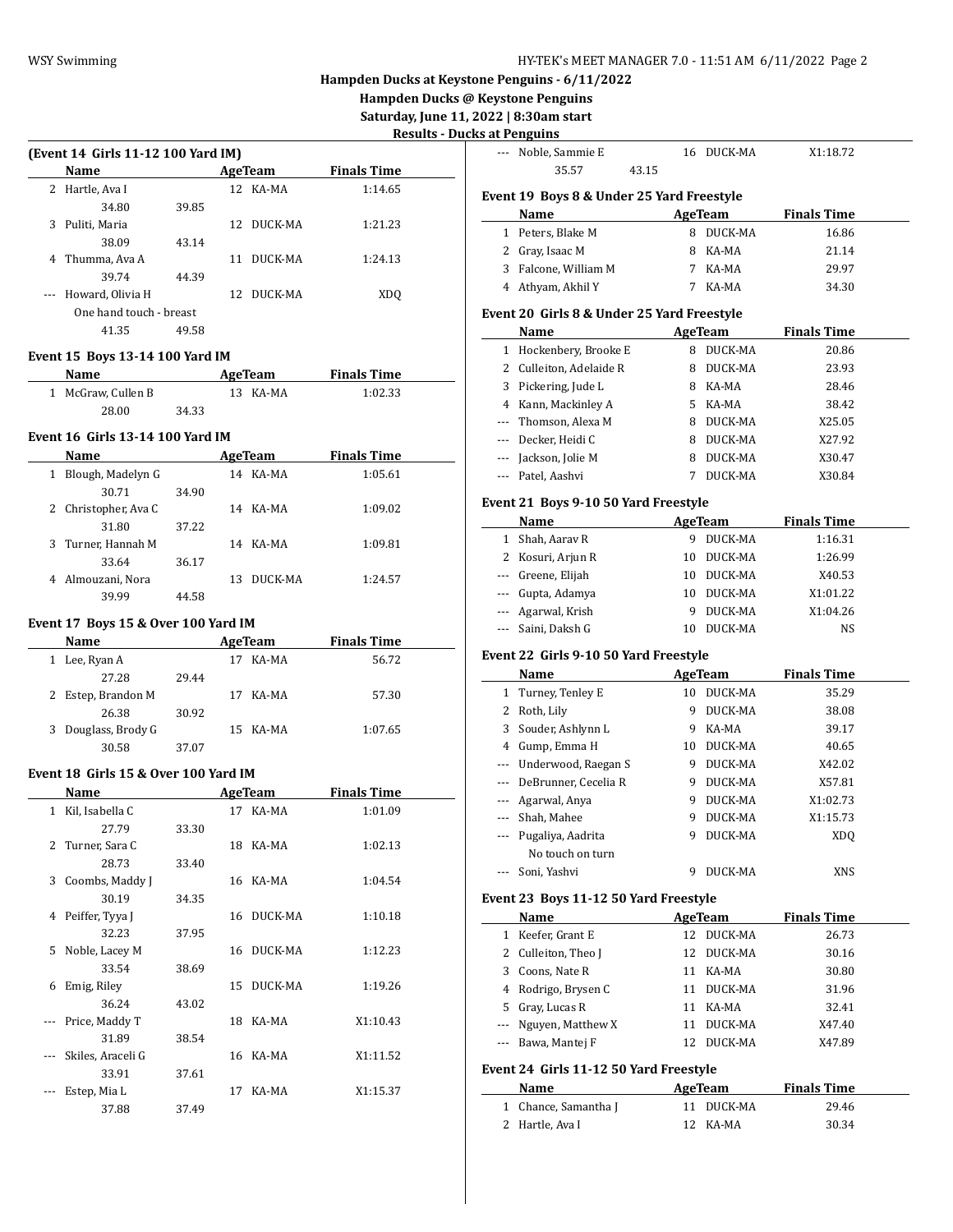**Hampden Ducks @ Keystone Penguins**

**Saturday, June 11, 2022 | 8:30am start**

| <b>Results - Ducks at Penguins</b> |  |
|------------------------------------|--|
|------------------------------------|--|

|   | <b>Name</b>             |       |     | AgeTeam  | <b>Finals Time</b> |
|---|-------------------------|-------|-----|----------|--------------------|
| 2 | Hartle, Ava I           |       |     | 12 KA-MA | 1:14.65            |
|   | 34.80                   | 39.85 |     |          |                    |
| 3 | Puliti, Maria           |       | 12  | DUCK-MA  | 1:21.23            |
|   | 38.09                   | 43.14 |     |          |                    |
| 4 | Thumma, Ava A           |       | 11  | DUCK-MA  | 1:24.13            |
|   | 39.74                   | 44.39 |     |          |                    |
|   | Howard, Olivia H        |       | 12. | DUCK-MA  | XDO                |
|   | One hand touch - breast |       |     |          |                    |
|   | 41.35                   | 49.58 |     |          |                    |

## **Event 15 Boys 13-14 100 Yard IM**

| Name               |       | AgeTeam  | <b>Finals Time</b> |  |
|--------------------|-------|----------|--------------------|--|
| 1 McGraw, Cullen B |       | 13 KA-MA | 1:02.33            |  |
| 28.00              | 34.33 |          |                    |  |

# **Event 16 Girls 13-14 100 Yard IM**

|   | <b>Name</b>          |       |     |          | <b>Finals Time</b> |  |
|---|----------------------|-------|-----|----------|--------------------|--|
| 1 | Blough, Madelyn G    |       |     | 14 KA-MA | 1:05.61            |  |
|   | 30.71                | 34.90 |     |          |                    |  |
|   | 2 Christopher, Ava C |       |     | 14 KA-MA | 1:09.02            |  |
|   | 31.80                | 37.22 |     |          |                    |  |
|   | 3 Turner, Hannah M   |       |     | 14 KA-MA | 1:09.81            |  |
|   | 33.64                | 36.17 |     |          |                    |  |
| 4 | Almouzani, Nora      |       | 13. | DUCK-MA  | 1:24.57            |  |
|   | 39.99                | 44.58 |     |          |                    |  |

# **Event 17 Boys 15 & Over 100 Yard IM**

| <b>Name</b>            |       | AgeTeam |          | <b>Finals Time</b> |  |
|------------------------|-------|---------|----------|--------------------|--|
| Lee, Ryan A<br>1       |       | 17      | KA-MA    | 56.72              |  |
| 27.28                  | 29.44 |         |          |                    |  |
| 2 Estep, Brandon M     |       | 17.     | KA-MA    | 57.30              |  |
| 26.38                  | 30.92 |         |          |                    |  |
| Douglass, Brody G<br>3 |       |         | 15 KA-MA | 1:07.65            |  |
| 30.58                  | 37.07 |         |          |                    |  |

#### **Event 18 Girls 15 & Over 100 Yard IM**

 $\overline{a}$ 

|              | Name              |       | AgeTeam |          | <b>Finals Time</b> |
|--------------|-------------------|-------|---------|----------|--------------------|
| $\mathbf{1}$ | Kil, Isabella C   |       |         | 17 KA-MA | 1:01.09            |
|              | 27.79             | 33.30 |         |          |                    |
|              | 2 Turner, Sara C  |       | 18      | KA-MA    | 1:02.13            |
|              | 28.73             | 33.40 |         |          |                    |
| 3            | Coombs, Maddy J   |       | 16      | KA-MA    | 1:04.54            |
|              | 30.19             | 34.35 |         |          |                    |
| 4            | Peiffer, Tyya J   |       | 16      | DUCK-MA  | 1:10.18            |
|              | 32.23             | 37.95 |         |          |                    |
| 5.           | Noble, Lacey M    |       | 16      | DUCK-MA  | 1:12.23            |
|              | 33.54             | 38.69 |         |          |                    |
| 6            | Emig, Riley       |       | 15      | DUCK-MA  | 1:19.26            |
|              | 36.24             | 43.02 |         |          |                    |
|              | Price, Maddy T    |       | 18      | KA-MA    | X1:10.43           |
|              | 31.89             | 38.54 |         |          |                    |
|              | Skiles, Araceli G |       | 16      | KA-MA    | X1:11.52           |
|              | 33.91             | 37.61 |         |          |                    |
|              | Estep, Mia L      |       | 17      | KA-MA    | X1:15.37           |
|              | 37.88             | 37.49 |         |          |                    |

| s at Penguins            |                                                |         |                    |                             |  |
|--------------------------|------------------------------------------------|---------|--------------------|-----------------------------|--|
| ---                      | Noble, Sammie E<br>35.57<br>43.15              |         | 16 DUCK-MA         | X1:18.72                    |  |
|                          | Event 19 Boys 8 & Under 25 Yard Freestyle      |         |                    |                             |  |
|                          | Name                                           |         | AgeTeam            | <b>Finals Time</b>          |  |
|                          | 1 Peters, Blake M                              |         | 8 DUCK-MA          | 16.86                       |  |
|                          | 2 Gray, Isaac M                                | 8       | KA-MA              | 21.14                       |  |
|                          | 3 Falcone, William M                           | 7       | KA-MA              | 29.97                       |  |
|                          | 4 Athyam, Akhil Y                              | 7       | KA-MA              | 34.30                       |  |
|                          | Event 20 Girls 8 & Under 25 Yard Freestyle     |         |                    |                             |  |
|                          | Name                                           |         | AgeTeam            | <b>Finals Time</b>          |  |
|                          | 1 Hockenbery, Brooke E                         |         | 8 DUCK-MA          | 20.86                       |  |
| $\mathbf{2}^{\prime}$    | Culleiton, Adelaide R                          | 8       | DUCK-MA            | 23.93                       |  |
| 3                        | Pickering, Jude L                              | 8       | KA-MA              | 28.46                       |  |
|                          | 4 Kann, Mackinley A                            |         | 5 KA-MA            | 38.42                       |  |
| ---                      | Thomson, Alexa M                               |         | 8 DUCK-MA          | X25.05                      |  |
| ---                      | Decker, Heidi C                                | 8       | DUCK-MA            | X27.92                      |  |
| $\overline{\phantom{a}}$ | Jackson, Jolie M                               | 8       | DUCK-MA            | X30.47                      |  |
| $\overline{a}$           | Patel, Aashvi                                  | 7       | DUCK-MA            | X30.84                      |  |
|                          |                                                |         |                    |                             |  |
|                          | Event 21 Boys 9-10 50 Yard Freestyle           |         |                    |                             |  |
|                          | Name                                           |         | AgeTeam            | <b>Finals Time</b>          |  |
|                          | 1 Shah, Aarav R                                | 9<br>10 | DUCK-MA            | 1:16.31                     |  |
| ---                      | 2 Kosuri, Arjun R<br>Greene, Elijah            | 10      | DUCK-MA<br>DUCK-MA | 1:26.99<br>X40.53           |  |
|                          |                                                | 10      | DUCK-MA            | X1:01.22                    |  |
|                          |                                                |         |                    |                             |  |
| ---                      | Gupta, Adamya                                  |         |                    |                             |  |
| ---                      | Agarwal, Krish                                 | 9       | DUCK-MA            | X1:04.26                    |  |
|                          | Saini, Daksh G                                 | 10      | DUCK-MA            | NS                          |  |
|                          | Event 22 Girls 9-10 50 Yard Freestyle          |         |                    |                             |  |
|                          | Name                                           |         | <b>AgeTeam</b>     | <b>Finals Time</b>          |  |
| 1                        | Turney, Tenley E                               | 10      | DUCK-MA            | 35.29                       |  |
| 2                        | Roth, Lily                                     | 9       | DUCK-MA            | 38.08                       |  |
| 3                        | Souder, Ashlynn L                              | 9       | KA-MA              | 39.17                       |  |
|                          | 4 Gump, Emma H                                 |         | 10 DUCK-MA         | 40.65                       |  |
|                          | --- Underwood, Raegan S                        | 9       | DUCK-MA            | X42.02                      |  |
| ---                      | DeBrunner, Cecelia R                           | 9       | DUCK-MA            | X57.81                      |  |
| ---                      | Agarwal, Anya                                  | 9       | DUCK-MA            | X1:02.73                    |  |
|                          | Shah, Mahee                                    | 9       | DUCK-MA            | X1:15.73                    |  |
|                          | --- Pugaliya, Aadrita                          | 9       | DUCK-MA            | <b>XDQ</b>                  |  |
|                          | No touch on turn                               |         |                    |                             |  |
|                          | Soni. Yashvi                                   | 9       | DUCK-MA            | XNS                         |  |
|                          | Event 23 Boys 11-12 50 Yard Freestyle          |         |                    |                             |  |
|                          | <u>Name</u>                                    |         | <b>AgeTeam</b>     | <u>Finals Time</u>          |  |
|                          | 1 Keefer, Grant E                              |         | 12 DUCK-MA         | 26.73                       |  |
|                          | 2 Culleiton, Theo J                            | 12      | DUCK-MA            | 30.16                       |  |
|                          | 3 Coons, Nate R                                |         | 11 KA-MA           | 30.80                       |  |
|                          | 4 Rodrigo, Brysen C                            |         | 11 DUCK-MA         | 31.96                       |  |
|                          | 5 Gray, Lucas R                                |         | 11 KA-MA           | 32.41                       |  |
|                          | --- Nguyen, Matthew X                          | 11      | DUCK-MA            | X47.40                      |  |
|                          | --- Bawa, Mantej F                             | 12      | DUCK-MA            | X47.89                      |  |
|                          |                                                |         |                    |                             |  |
|                          | Event 24 Girls 11-12 50 Yard Freestyle<br>Name |         |                    |                             |  |
| 1                        | Chance, Samantha J                             | 11      | AgeTeam<br>DUCK-MA | <b>Finals Time</b><br>29.46 |  |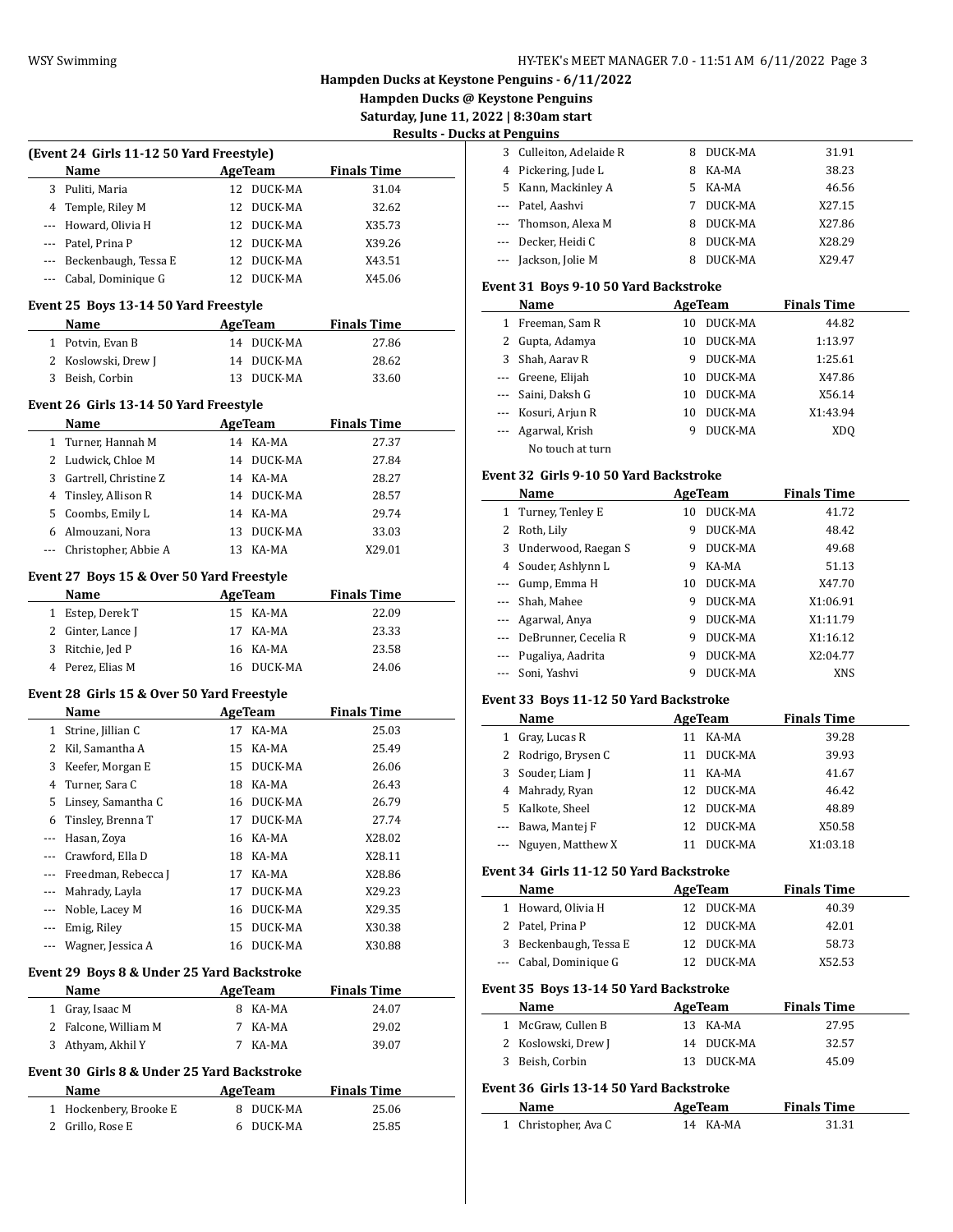**Hampden Ducks @ Keystone Penguins**

**Saturday, June 11, 2022 | 8:30am start**

 $\sim$ 

| <b>Results - Ducks at Penguins</b> |  |  |  |  |
|------------------------------------|--|--|--|--|
|                                    |  |  |  |  |

|                | (Event 24 Girls 11-12 50 Yard Freestyle)                                           |    |                      |                    |  |
|----------------|------------------------------------------------------------------------------------|----|----------------------|--------------------|--|
|                | Name                                                                               |    | AgeTeam              | <b>Finals Time</b> |  |
|                | 3 Puliti, Maria                                                                    |    | 12 DUCK-MA           | 31.04              |  |
|                | 4 Temple, Riley M                                                                  |    | 12 DUCK-MA           | 32.62              |  |
|                | --- Howard, Olivia H                                                               |    | 12 DUCK-MA           | X35.73             |  |
|                | --- Patel, Prina P                                                                 |    | 12 DUCK-MA           | X39.26             |  |
|                | --- Beckenbaugh, Tessa E                                                           |    | 12 DUCK-MA           | X43.51             |  |
|                | --- Cabal, Dominique G                                                             |    | 12 DUCK-MA           | X45.06             |  |
|                |                                                                                    |    |                      |                    |  |
|                | Event 25 Boys 13-14 50 Yard Freestyle<br><b>Name</b><br><b>Example 2.1 AgeTeam</b> |    |                      | <b>Finals Time</b> |  |
|                | 1 Potvin, Evan B                                                                   |    | 14 DUCK-MA           | 27.86              |  |
|                | 2 Koslowski, Drew J                                                                |    | 14 DUCK-MA           | 28.62              |  |
| 3              | Beish, Corbin                                                                      |    | 13 DUCK-MA           | 33.60              |  |
|                |                                                                                    |    |                      |                    |  |
|                | Event 26 Girls 13-14 50 Yard Freestyle                                             |    |                      |                    |  |
|                | Name                                                                               |    | <b>AgeTeam</b>       | <b>Finals Time</b> |  |
| 1              | Turner, Hannah M                                                                   |    | 14 KA-MA             | 27.37              |  |
| $\overline{2}$ | Ludwick, Chloe M                                                                   |    | 14 DUCK-MA           | 27.84              |  |
|                | 3 Gartrell, Christine Z                                                            |    | 14 KA-MA             | 28.27              |  |
|                | 4 Tinsley, Allison R                                                               |    | 14 DUCK-MA           | 28.57              |  |
|                | 5 Coombs, Emily L                                                                  |    | 14 KA-MA             | 29.74              |  |
|                | 6 Almouzani, Nora                                                                  |    | 13 DUCK-MA           | 33.03              |  |
|                | --- Christopher, Abbie A                                                           |    | 13 KA-MA             | X29.01             |  |
|                | Event 27 Boys 15 & Over 50 Yard Freestyle                                          |    |                      |                    |  |
|                | Name                                                                               |    | AgeTeam              | <b>Finals Time</b> |  |
| $\mathbf{1}$   | Estep, Derek T                                                                     |    | 15 KA-MA             | 22.09              |  |
|                |                                                                                    |    |                      |                    |  |
|                |                                                                                    |    |                      |                    |  |
|                | 2 Ginter, Lance J                                                                  |    | 17 KA-MA             | 23.33              |  |
| 3              | Ritchie, Jed P                                                                     |    | 16 KA-MA             | 23.58              |  |
|                | 4 Perez, Elias M                                                                   |    | 16 DUCK-MA           | 24.06              |  |
|                | Event 28 Girls 15 & Over 50 Yard Freestyle                                         |    |                      |                    |  |
|                | Name                                                                               |    | AgeTeam              | <b>Finals Time</b> |  |
|                | 1 Strine, Jillian C                                                                |    | 17 KA-MA             | 25.03              |  |
|                | 2 Kil, Samantha A                                                                  |    | 15 KA-MA             | 25.49              |  |
|                | 3 Keefer, Morgan E                                                                 |    | 15 DUCK-MA           | 26.06              |  |
| 4              | Turner, Sara C                                                                     |    | 18 KA-MA             | 26.43              |  |
| 5              | Linsey, Samantha C                                                                 |    | 16 DUCK-MA           | 26.79              |  |
| 6              | Tinsley, Brenna T                                                                  |    | 17 DUCK-MA           | 27.74              |  |
| ---            | Hasan, Zoya                                                                        | 16 | KA-MA                | X28.02             |  |
| ---            | Crawford, Ella D                                                                   | 18 | KA-MA                | X28.11             |  |
| ---            | Freedman, Rebecca J                                                                | 17 | KA-MA                | X28.86             |  |
|                | --- Mahrady, Layla                                                                 | 17 | DUCK-MA              | X29.23             |  |
|                | --- Noble, Lacey M                                                                 |    | 16 DUCK-MA           | X29.35             |  |
|                | --- Emig, Riley                                                                    | 15 | DUCK-MA              | X30.38             |  |
| ---            | Wagner, Jessica A                                                                  | 16 | DUCK-MA              | X30.88             |  |
|                | Event 29 Boys 8 & Under 25 Yard Backstroke                                         |    |                      |                    |  |
|                | Name                                                                               |    | AgeTeam              | <b>Finals Time</b> |  |
|                | 1 Gray, Isaac M                                                                    |    | 8 KA-MA              | 24.07              |  |
|                |                                                                                    | 7  | KA-MA                | 29.02              |  |
| 3              | 2 Falcone, William M<br>Athyam, Akhil Y                                            | 7  | KA-MA                | 39.07              |  |
|                |                                                                                    |    |                      |                    |  |
|                | Event 30  Girls 8 & Under 25 Yard Backstroke                                       |    |                      |                    |  |
|                | Name                                                                               |    | <b>AgeTeam</b>       | <b>Finals Time</b> |  |
| 1<br>2         | Hockenbery, Brooke E<br>Grillo, Rose E                                             | 6  | 8 DUCK-MA<br>DUCK-MA | 25.06<br>25.85     |  |

| 3 Culleiton, Adelaide R | 8  | DUCK-MA | 31.91  |
|-------------------------|----|---------|--------|
| 4 Pickering, Jude L     | 8  | KA-MA   | 38.23  |
| 5 Kann, Mackinley A     | 5. | KA-MA   | 46.56  |
| --- Patel, Aashvi       |    | DUCK-MA | X27.15 |
| --- Thomson, Alexa M    | 8  | DUCK-MA | X27.86 |
| --- Decker, Heidi C     | 8  | DUCK-MA | X28.29 |
| --- Jackson, Jolie M    |    | DUCK-MA | X29.47 |

### **Event 31 Boys 9-10 50 Yard Backstroke**

|                                                                                                                                                                                                                                                                                                                                                                                                                                                                            | Name                |    | AgeTeam | <b>Finals Time</b> |  |
|----------------------------------------------------------------------------------------------------------------------------------------------------------------------------------------------------------------------------------------------------------------------------------------------------------------------------------------------------------------------------------------------------------------------------------------------------------------------------|---------------------|----|---------|--------------------|--|
| 1                                                                                                                                                                                                                                                                                                                                                                                                                                                                          | Freeman, Sam R      | 10 | DUCK-MA | 44.82              |  |
|                                                                                                                                                                                                                                                                                                                                                                                                                                                                            | 2 Gupta, Adamya     | 10 | DUCK-MA | 1:13.97            |  |
|                                                                                                                                                                                                                                                                                                                                                                                                                                                                            | 3 Shah, Aarav R     | 9  | DUCK-MA | 1:25.61            |  |
| $\frac{1}{2} \left( \frac{1}{2} \right) \left( \frac{1}{2} \right) \left( \frac{1}{2} \right) \left( \frac{1}{2} \right) \left( \frac{1}{2} \right) \left( \frac{1}{2} \right) \left( \frac{1}{2} \right) \left( \frac{1}{2} \right) \left( \frac{1}{2} \right) \left( \frac{1}{2} \right) \left( \frac{1}{2} \right) \left( \frac{1}{2} \right) \left( \frac{1}{2} \right) \left( \frac{1}{2} \right) \left( \frac{1}{2} \right) \left( \frac{1}{2} \right) \left( \frac$ | Greene, Elijah      | 10 | DUCK-MA | X47.86             |  |
|                                                                                                                                                                                                                                                                                                                                                                                                                                                                            | --- Saini, Daksh G  | 10 | DUCK-MA | X56.14             |  |
|                                                                                                                                                                                                                                                                                                                                                                                                                                                                            | --- Kosuri, Arjun R | 10 | DUCK-MA | X1:43.94           |  |
|                                                                                                                                                                                                                                                                                                                                                                                                                                                                            | --- Agarwal, Krish  | 9  | DUCK-MA | XD <sub>0</sub>    |  |
|                                                                                                                                                                                                                                                                                                                                                                                                                                                                            | No touch at turn    |    |         |                    |  |

## **Event 32 Girls 9-10 50 Yard Backstroke**

|   | Name                 |    | AgeTeam | <b>Finals Time</b> |  |
|---|----------------------|----|---------|--------------------|--|
| 1 | Turney, Tenley E     | 10 | DUCK-MA | 41.72              |  |
| 2 | Roth, Lily           | 9  | DUCK-MA | 48.42              |  |
| 3 | Underwood, Raegan S  | 9  | DUCK-MA | 49.68              |  |
| 4 | Souder, Ashlynn L    | 9  | KA-MA   | 51.13              |  |
|   | Gump, Emma H         | 10 | DUCK-MA | X47.70             |  |
|   | Shah, Mahee          | 9  | DUCK-MA | X1:06.91           |  |
|   | Agarwal, Anya        | 9  | DUCK-MA | X1:11.79           |  |
|   | DeBrunner, Cecelia R | 9  | DUCK-MA | X1:16.12           |  |
|   | Pugaliya, Aadrita    | 9  | DUCK-MA | X2:04.77           |  |
|   | Soni, Yashvi         | 9  | DUCK-MA | <b>XNS</b>         |  |

# **Event 33 Boys 11-12 50 Yard Backstroke**

|   | Name                  |     | AgeTeam | <b>Finals Time</b> |  |
|---|-----------------------|-----|---------|--------------------|--|
| 1 | Gray, Lucas R         | 11  | KA-MA   | 39.28              |  |
|   | 2 Rodrigo, Brysen C   | 11  | DUCK-MA | 39.93              |  |
|   | 3 Souder, Liam J      | 11  | KA-MA   | 41.67              |  |
|   | 4 Mahrady, Ryan       | 12. | DUCK-MA | 46.42              |  |
|   | 5 Kalkote, Sheel      | 12  | DUCK-MA | 48.89              |  |
|   | --- Bawa, Mantej F    | 12  | DUCK-MA | X50.58             |  |
|   | --- Nguyen, Matthew X |     | DUCK-MA | X1:03.18           |  |

### **Event 34 Girls 11-12 50 Yard Backstroke**

| Name                   | AgeTeam    | <b>Finals Time</b> |  |
|------------------------|------------|--------------------|--|
| 1 Howard, Olivia H     | 12 DUCK-MA | 40.39              |  |
| 2 Patel, Prina P       | 12 DUCK-MA | 42.01              |  |
| 3 Beckenbaugh, Tessa E | 12 DUCK-MA | 58.73              |  |
| --- Cabal, Dominique G | 12 DUCK-MA | X52.53             |  |

#### **Event 35 Boys 13-14 50 Yard Backstroke**

| Name                | AgeTeam    | <b>Finals Time</b> |  |
|---------------------|------------|--------------------|--|
| 1 McGraw, Cullen B  | 13 KA-MA   | 27.95              |  |
| 2 Koslowski, Drew J | 14 DUCK-MA | 32.57              |  |
| 3 Beish, Corbin     | 13 DUCK-MA | 45.09              |  |

# **Event 36 Girls 13-14 50 Yard Backstroke**

| Name                 | AgeTeam  | <b>Finals Time</b> |  |
|----------------------|----------|--------------------|--|
| 1 Christopher, Ava C | 14 KA-MA | 31.31              |  |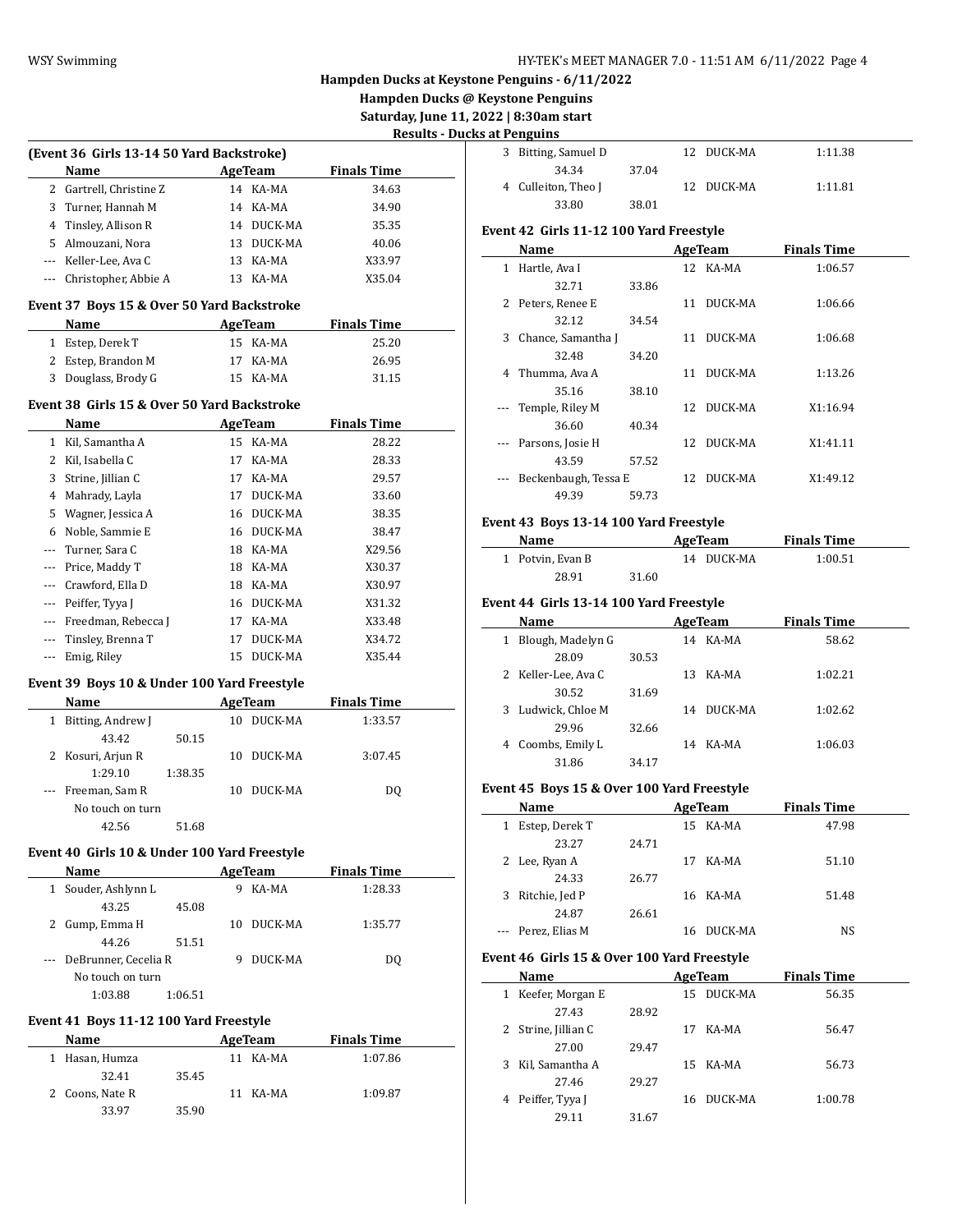**Hampden Ducks @ Keystone Penguins**

**Saturday, June 11, 2022 | 8:30am start**

| <b>Results - Ducks at Penguins</b> |  |  |  |
|------------------------------------|--|--|--|
|                                    |  |  |  |

|              |                                              |    |                |                    | <b>Results - Du</b> |
|--------------|----------------------------------------------|----|----------------|--------------------|---------------------|
|              | (Event 36 Girls 13-14 50 Yard Backstroke)    |    |                |                    |                     |
|              | Name                                         |    | <b>AgeTeam</b> | <b>Finals Time</b> |                     |
|              | 2 Gartrell, Christine Z                      |    | 14 KA-MA       | 34.63              |                     |
| 3            | Turner, Hannah M                             |    | 14 KA-MA       | 34.90              |                     |
|              | 4 Tinsley, Allison R                         |    | 14 DUCK-MA     | 35.35              |                     |
|              | 5 Almouzani, Nora                            |    | 13 DUCK-MA     | 40.06              |                     |
|              | --- Keller-Lee, Ava C                        | 13 | KA-MA          | X33.97             |                     |
| ---          | Christopher, Abbie A                         |    | 13 KA-MA       | X35.04             |                     |
|              | Event 37 Boys 15 & Over 50 Yard Backstroke   |    |                |                    |                     |
|              | Name                                         |    | AgeTeam        | <b>Finals Time</b> |                     |
|              | 1 Estep, Derek T                             |    | 15 KA-MA       | 25.20              |                     |
|              | 2 Estep, Brandon M                           |    | 17 KA-MA       | 26.95              |                     |
|              | 3 Douglass, Brody G                          |    | 15 KA-MA       | 31.15              |                     |
|              |                                              |    |                |                    |                     |
|              | Event 38  Girls 15 & Over 50 Yard Backstroke |    |                |                    |                     |
|              | Name                                         |    | <b>AgeTeam</b> | <b>Finals Time</b> |                     |
|              | 1 Kil, Samantha A                            |    | 15 KA-MA       | 28.22              |                     |
| 2            | Kil, Isabella C                              | 17 | KA-MA          | 28.33              |                     |
| 3            | Strine, Jillian C                            |    | 17 KA-MA       | 29.57              |                     |
| 4            | Mahrady, Layla                               | 17 | DUCK-MA        | 33.60              |                     |
| 5            | Wagner, Jessica A                            |    | 16 DUCK-MA     | 38.35              |                     |
| 6            | Noble, Sammie E                              |    | 16 DUCK-MA     | 38.47              |                     |
| ---          | Turner, Sara C                               |    | 18 KA-MA       | X29.56             |                     |
| $\cdots$     | Price, Maddy T                               |    | 18 KA-MA       | X30.37             |                     |
| ---          | Crawford, Ella D                             |    | 18 KA-MA       | X30.97             |                     |
| ---          | Peiffer, Tyya J                              |    | 16 DUCK-MA     | X31.32             |                     |
| ---          | Freedman, Rebecca J                          |    | 17 KA-MA       | X33.48             |                     |
| ---          | Tinsley, Brenna T                            | 17 | DUCK-MA        | X34.72             |                     |
| ---          | Emig, Riley                                  | 15 | DUCK-MA        | X35.44             |                     |
|              | Event 39 Boys 10 & Under 100 Yard Freestyle  |    |                |                    |                     |
|              | Name                                         |    | AgeTeam        | <b>Finals Time</b> |                     |
| $\mathbf{1}$ | Bitting, Andrew J                            | 10 | DUCK-MA        | 1:33.57            |                     |
|              | 43.42<br>50.15                               |    |                |                    |                     |
| 2            | Kosuri, Arjun R                              | 10 | DUCK-MA        | 3:07.45            |                     |
|              | 1:29.10<br>1:38.35                           |    |                |                    |                     |
|              | Freeman, Sam R                               | 10 | DUCK-MA        | DQ                 |                     |
|              | No touch on turn                             |    |                |                    |                     |
|              | 42.56<br>51.68                               |    |                |                    |                     |
|              |                                              |    |                |                    |                     |
|              | Event 40 Girls 10 & Under 100 Yard Freestyle |    |                |                    |                     |
|              | Name                                         |    | AgeTeam        | <b>Finals Time</b> |                     |
| $1 \quad$    | Souder, Ashlynn L                            |    | 9 KA-MA        | 1:28.33            |                     |
|              | 43.25<br>45.08                               |    |                |                    |                     |
|              | 2 Gump, Emma H                               | 10 | DUCK-MA        | 1:35.77            |                     |
|              | 44.26<br>51.51                               |    |                |                    |                     |
| ---          | DeBrunner, Cecelia R                         |    | 9 DUCK-MA      | DQ                 |                     |
|              | No touch on turn                             |    |                |                    |                     |
|              | 1:03.88<br>1:06.51                           |    |                |                    |                     |
|              | Event 41 Boys 11-12 100 Yard Freestyle       |    |                |                    |                     |
|              | Name                                         |    | <b>AgeTeam</b> | <b>Finals Time</b> |                     |
|              | 1 Hasan, Humza                               |    | 11 KA-MA       | 1:07.86            |                     |

32.41 35.45

33.97 35.90

2 Coons, Nate R 11 KA-MA 1:09.87

| . <b>.</b>          |       |                       |  |
|---------------------|-------|-----------------------|--|
| 3 Bitting, Samuel D |       | 12 DUCK-MA<br>1:11.38 |  |
| 34.34               | 37.04 |                       |  |
| 4 Culleiton, Theo I |       | 12 DUCK-MA<br>1:11.81 |  |
| 33.80               | 38.01 |                       |  |

# **Event 42 Girls 11-12 100 Yard Freestyle**

|                       | Name                 |       |    | <b>AgeTeam</b> | <b>Finals Time</b> |  |
|-----------------------|----------------------|-------|----|----------------|--------------------|--|
| 1                     | Hartle, Ava I        |       |    | 12 KA-MA       | 1:06.57            |  |
|                       | 32.71                | 33.86 |    |                |                    |  |
|                       | 2 Peters, Renee E    |       | 11 | DUCK-MA        | 1:06.66            |  |
|                       | 32.12                | 34.54 |    |                |                    |  |
| 3                     | Chance, Samantha J   |       | 11 | DUCK-MA        | 1:06.68            |  |
|                       | 32.48                | 34.20 |    |                |                    |  |
| 4                     | Thumma, Ava A        |       | 11 | DUCK-MA        | 1:13.26            |  |
|                       | 35.16                | 38.10 |    |                |                    |  |
| $\scriptstyle \cdots$ | Temple, Riley M      |       |    | 12 DUCK-MA     | X1:16.94           |  |
|                       | 36.60                | 40.34 |    |                |                    |  |
|                       | Parsons, Josie H     |       | 12 | DUCK-MA        | X1:41.11           |  |
|                       | 43.59                | 57.52 |    |                |                    |  |
| $\cdots$              | Beckenbaugh, Tessa E |       |    | 12 DUCK-MA     | X1:49.12           |  |
|                       | 49.39                | 59.73 |    |                |                    |  |
|                       |                      |       |    |                |                    |  |

# **Event 43 Boys 13-14 100 Yard Freestyle**

| Name             |       | AgeTeam    | <b>Finals Time</b> |  |
|------------------|-------|------------|--------------------|--|
| 1 Potvin, Evan B |       | 14 DUCK-MA | 1:00.51            |  |
| 28.91            | 31.60 |            |                    |  |

#### **Event 44 Girls 13-14 100 Yard Freestyle**

|   | Name                |       |    | AgeTeam | <b>Finals Time</b> |  |
|---|---------------------|-------|----|---------|--------------------|--|
| 1 | Blough, Madelyn G   |       | 14 | KA-MA   | 58.62              |  |
|   | 28.09               | 30.53 |    |         |                    |  |
|   | 2 Keller-Lee, Ava C |       | 13 | KA-MA   | 1:02.21            |  |
|   | 30.52               | 31.69 |    |         |                    |  |
|   | 3 Ludwick, Chloe M  |       | 14 | DUCK-MA | 1:02.62            |  |
|   | 29.96               | 32.66 |    |         |                    |  |
| 4 | Coombs, Emily L     |       | 14 | KA-MA   | 1:06.03            |  |
|   | 31.86               | 34.17 |    |         |                    |  |

# **Event 45 Boys 15 & Over 100 Yard Freestyle**

| Name |                    | AgeTeam |    |          | <b>Finals Time</b> |
|------|--------------------|---------|----|----------|--------------------|
| 1    | Estep, Derek T     |         |    | 15 KA-MA | 47.98              |
|      | 23.27              | 24.71   |    |          |                    |
|      | 2 Lee, Ryan A      |         | 17 | KA-MA    | 51.10              |
|      | 24.33              | 26.77   |    |          |                    |
| 3    | Ritchie, Jed P     |         |    | 16 KA-MA | 51.48              |
|      | 24.87              | 26.61   |    |          |                    |
|      | --- Perez, Elias M |         | 16 | DUCK-MA  | NS                 |

# **Event 46 Girls 15 & Over 100 Yard Freestyle**

| Name                |       | AgeTeam       | <b>Finals Time</b> |  |
|---------------------|-------|---------------|--------------------|--|
| 1 Keefer, Morgan E  |       | DUCK-MA<br>15 | 56.35              |  |
| 27.43               | 28.92 |               |                    |  |
| 2 Strine, Jillian C |       | KA-MA<br>17   | 56.47              |  |
| 27.00               | 29.47 |               |                    |  |
| 3 Kil, Samantha A   |       | 15 KA-MA      | 56.73              |  |
| 27.46               | 29.27 |               |                    |  |
| 4 Peiffer, Tyya J   |       | DUCK-MA<br>16 | 1:00.78            |  |
| 29.11               | 31.67 |               |                    |  |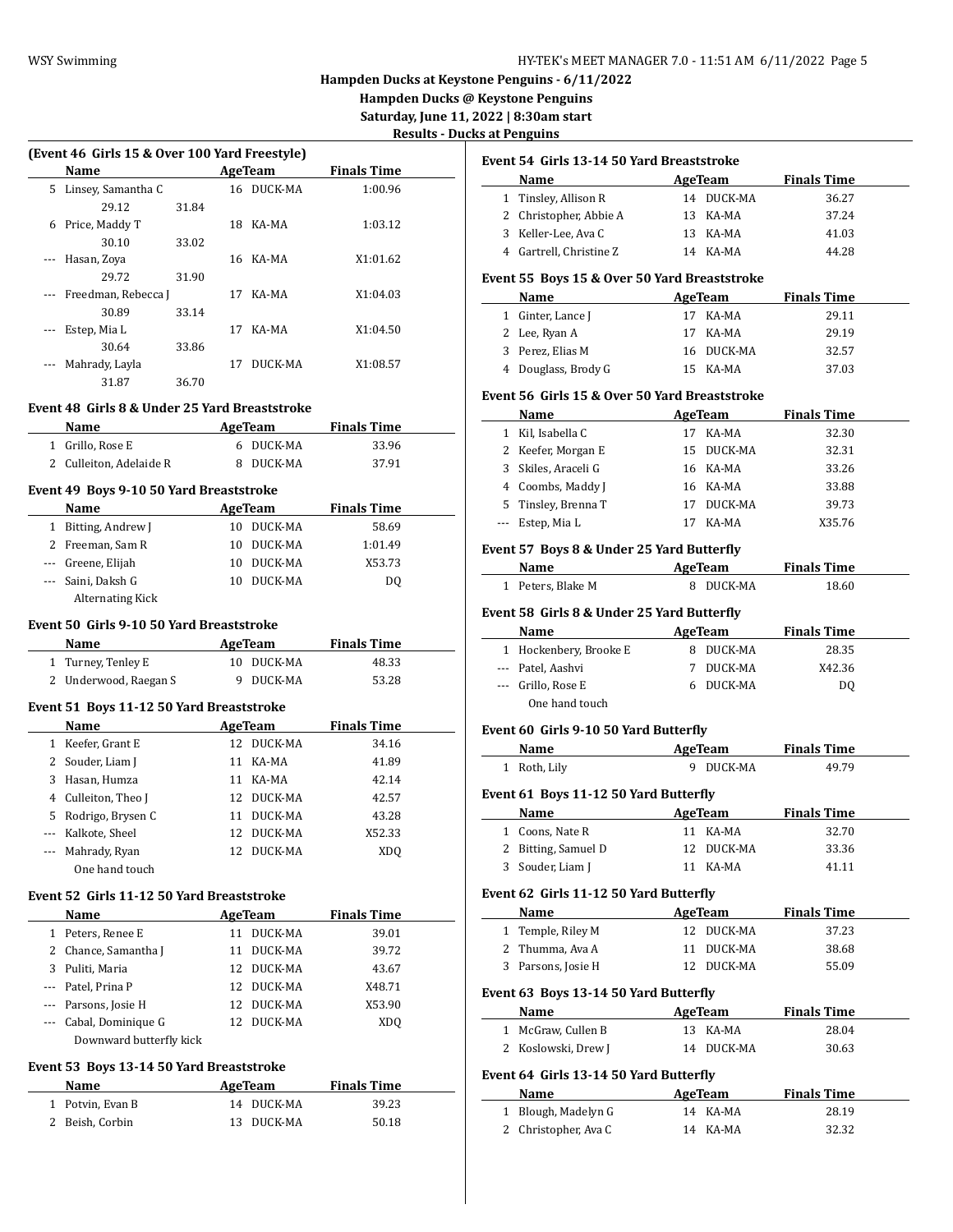**Hampden Ducks @ Keystone Penguins**

Saturday, June 11,

| <b>Results - Ducks at Penguins</b> |  |  |
|------------------------------------|--|--|
|                                    |  |  |

|              |                                                       |    |                          |                    | <u> Results - Ducks a</u> |
|--------------|-------------------------------------------------------|----|--------------------------|--------------------|---------------------------|
|              | (Event 46 Girls 15 & Over 100 Yard Freestyle)<br>Name |    | AgeTeam                  | <b>Finals Time</b> | Ev                        |
|              | 5 Linsey, Samantha C                                  |    | 16 DUCK-MA               | 1:00.96            |                           |
|              | 29.12<br>31.84                                        |    |                          |                    |                           |
|              | 6 Price, Maddy T                                      |    | 18 KA-MA                 | 1:03.12            |                           |
|              | 30.10<br>33.02                                        |    |                          |                    |                           |
| ---          | Hasan, Zoya                                           |    | 16 KA-MA                 | X1:01.62           |                           |
|              | 29.72<br>31.90                                        |    |                          |                    | Ev                        |
|              | Freedman, Rebecca J                                   |    | 17 KA-MA                 | X1:04.03           |                           |
|              | 30.89<br>33.14                                        |    |                          |                    |                           |
|              | Estep, Mia L                                          |    | 17 KA-MA                 | X1:04.50           |                           |
|              | 30.64<br>33.86                                        |    |                          |                    |                           |
|              | Mahrady, Layla                                        | 17 | DUCK-MA                  | X1:08.57           |                           |
|              | 31.87<br>36.70                                        |    |                          |                    |                           |
|              | Event 48  Girls 8 & Under 25 Yard Breaststroke        |    |                          |                    | Ev                        |
|              | <b>AgeTeam</b><br>Name                                |    |                          | <b>Finals Time</b> |                           |
|              | 1 Grillo, Rose E                                      |    | 6 DUCK-MA                | 33.96              |                           |
|              | 2 Culleiton, Adelaide R                               |    | 8 DUCK-MA                | 37.91              |                           |
|              |                                                       |    |                          |                    |                           |
|              | Event 49 Boys 9-10 50 Yard Breaststroke               |    |                          |                    |                           |
|              | Name                                                  |    | AgeTeam                  | <b>Finals Time</b> |                           |
|              | 1 Bitting, Andrew J                                   |    | 10 DUCK-MA               | 58.69              |                           |
|              | 2 Freeman, Sam R                                      |    | 10 DUCK-MA               | 1:01.49            | Ev                        |
|              | --- Greene, Elijah                                    |    | 10 DUCK-MA               | X53.73             |                           |
|              | --- Saini, Daksh G                                    |    | 10 DUCK-MA               | DQ                 |                           |
|              | <b>Alternating Kick</b>                               |    |                          |                    |                           |
|              | Event 50  Girls 9-10 50 Yard Breaststroke             |    |                          |                    | Ev                        |
|              | Name                                                  |    | <b>AgeTeam</b>           | <b>Finals Time</b> |                           |
|              | 1 Turney, Tenley E                                    |    | 10 DUCK-MA               | 48.33              |                           |
|              | 2 Underwood, Raegan S                                 |    | 9 DUCK-MA                | 53.28              |                           |
|              |                                                       |    |                          |                    |                           |
|              | Event 51 Boys 11-12 50 Yard Breaststroke              |    |                          |                    |                           |
|              | Name                                                  |    | <b>Example 2</b> AgeTeam | <b>Finals Time</b> | Ev                        |
|              | 1 Keefer, Grant E                                     |    | 12 DUCK-MA               | 34.16              |                           |
|              | 2 Souder, Liam J                                      |    | 11 KA-MA                 | 41.89              |                           |
|              | 3 Hasan, Humza                                        |    | 11 KA-MA                 | 42.14              |                           |
|              | 4 Culleiton, Theo J                                   |    | 12 DUCK-MA               | 42.57              | Ev                        |
|              | 5 Rodrigo, Brysen C                                   |    | 11 DUCK-MA               | 43.28              |                           |
|              | --- Kalkote, Sheel                                    |    | 12 DUCK-MA               | X52.33             |                           |
| $\cdots$     | Mahrady, Ryan                                         |    | 12 DUCK-MA               | XDQ                |                           |
|              | One hand touch                                        |    |                          |                    |                           |
|              | Event 52 Girls 11-12 50 Yard Breaststroke             |    |                          |                    | Ev                        |
|              | Name                                                  |    | <b>AgeTeam</b>           | <b>Finals Time</b> |                           |
|              | 1 Peters, Renee E                                     |    | 11 DUCK-MA               | 39.01              |                           |
|              | 2 Chance, Samantha J                                  | 11 | DUCK-MA                  | 39.72              |                           |
|              | 3 Puliti, Maria                                       | 12 | DUCK-MA                  | 43.67              |                           |
|              | --- Patel, Prina P                                    |    | 12 DUCK-MA               | X48.71             |                           |
|              | --- Parsons, Josie H                                  | 12 | DUCK-MA                  | X53.90             | Ev                        |
|              | --- Cabal, Dominique G                                | 12 | DUCK-MA                  | XDQ                |                           |
|              | Downward butterfly kick                               |    |                          |                    |                           |
|              |                                                       |    |                          |                    |                           |
|              | Event 53 Boys 13-14 50 Yard Breaststroke              |    |                          |                    | Ev                        |
|              | Name                                                  |    | <b>AgeTeam</b>           | <b>Finals Time</b> |                           |
| $\mathbf{1}$ | Potvin, Evan B                                        |    | 14 DUCK-MA               | 39.23              |                           |

2 Beish, Corbin 13 DUCK-MA 50.18

|   | Event 54 Girls 13-14 50 Yard Breaststroke                                                                                                                                                                                     |    |                |                                                      |
|---|-------------------------------------------------------------------------------------------------------------------------------------------------------------------------------------------------------------------------------|----|----------------|------------------------------------------------------|
|   | Name<br><b>AgeTeam</b>                                                                                                                                                                                                        |    |                | <b>Finals Time</b>                                   |
|   | 1 Tinsley, Allison R                                                                                                                                                                                                          |    | 14 DUCK-MA     | 36.27                                                |
|   | 2 Christopher, Abbie A                                                                                                                                                                                                        |    | 13 KA-MA       | 37.24                                                |
|   | 3 Keller-Lee, Ava C                                                                                                                                                                                                           |    | 13 KA-MA       | 41.03                                                |
|   | 4 Gartrell, Christine Z                                                                                                                                                                                                       |    | 14 KA-MA       | 44.28                                                |
|   | Event 55 Boys 15 & Over 50 Yard Breaststroke                                                                                                                                                                                  |    |                |                                                      |
|   | Name                                                                                                                                                                                                                          |    | AgeTeam        | <b>Finals Time</b>                                   |
|   | 1 Ginter, Lance J                                                                                                                                                                                                             |    | 17 KA-MA       | 29.11                                                |
|   | 2 Lee, Ryan A                                                                                                                                                                                                                 |    | 17 KA-MA       | 29.19                                                |
|   | 3 Perez, Elias M                                                                                                                                                                                                              |    | 16 DUCK-MA     | 32.57                                                |
|   | 4 Douglass, Brody G                                                                                                                                                                                                           |    | 15 KA-MA       | 37.03                                                |
|   | Event 56 Girls 15 & Over 50 Yard Breaststroke                                                                                                                                                                                 |    |                |                                                      |
|   | Name                                                                                                                                                                                                                          |    | <b>AgeTeam</b> | <b>Finals Time</b>                                   |
|   | 1 Kil, Isabella C                                                                                                                                                                                                             |    | 17 KA-MA       | 32.30                                                |
|   | 2 Keefer, Morgan E                                                                                                                                                                                                            |    | 15 DUCK-MA     | 32.31                                                |
|   | 3 Skiles, Araceli G                                                                                                                                                                                                           |    | 16 KA-MA       | 33.26                                                |
|   | 4 Coombs, Maddy J                                                                                                                                                                                                             |    | 16 KA-MA       | 33.88                                                |
|   | 5 Tinsley, Brenna T                                                                                                                                                                                                           |    | 17 DUCK-MA     | 39.73                                                |
|   | --- Estep, Mia L                                                                                                                                                                                                              |    | 17 KA-MA       | X35.76                                               |
|   | 1 Peters, Blake M                                                                                                                                                                                                             |    | 8 DUCK-MA      |                                                      |
|   | Event 58 Girls 8 & Under 25 Yard Butterfly                                                                                                                                                                                    |    |                |                                                      |
|   | Name and the same state of the state of the state of the state of the state of the state of the state of the state of the state of the state of the state of the state of the state of the state of the state of the state of |    | <b>AgeTeam</b> |                                                      |
|   | 1 Hockenbery, Brooke E                                                                                                                                                                                                        |    | 8 DUCK-MA      |                                                      |
|   | --- Patel, Aashvi                                                                                                                                                                                                             |    | 7 DUCK-MA      |                                                      |
|   | --- Grillo, Rose E                                                                                                                                                                                                            |    | 6 DUCK-MA      |                                                      |
|   | One hand touch                                                                                                                                                                                                                |    |                | 18.60<br><b>Finals Time</b><br>28.35<br>X42.36<br>DQ |
|   | Event 60 Girls 9-10 50 Yard Butterfly                                                                                                                                                                                         |    |                |                                                      |
|   | Name<br><b>AgeTeam</b>                                                                                                                                                                                                        |    |                |                                                      |
|   | 1 Roth, Lily                                                                                                                                                                                                                  |    | 9 DUCK-MA      | <b>Finals Time</b><br>49.79                          |
|   | Event 61 Boys 11-12 50 Yard Butterfly                                                                                                                                                                                         |    |                |                                                      |
|   | Name AgeTeam                                                                                                                                                                                                                  |    |                |                                                      |
|   | 1 Coons, Nate R                                                                                                                                                                                                               |    | 11 KA-MA       |                                                      |
|   | 2 Bitting, Samuel D                                                                                                                                                                                                           | 12 | DUCK-MA        |                                                      |
| 3 | Souder, Liam J                                                                                                                                                                                                                | 11 | KA-MA          | <b>Finals Time</b><br>32.70<br>33.36<br>41.11        |
|   | Event 62 Girls 11-12 50 Yard Butterfly                                                                                                                                                                                        |    |                |                                                      |
|   | Name                                                                                                                                                                                                                          |    | <b>AgeTeam</b> |                                                      |
|   | 1 Temple, Riley M                                                                                                                                                                                                             |    | 12 DUCK-MA     |                                                      |
|   | 2 Thumma, Ava A                                                                                                                                                                                                               |    | 11 DUCK-MA     |                                                      |
|   | 3 Parsons, Josie H                                                                                                                                                                                                            | 12 | DUCK-MA        | <b>Finals Time</b><br>37.23<br>38.68<br>55.09        |
|   | Event 63 Boys 13-14 50 Yard Butterfly                                                                                                                                                                                         |    |                |                                                      |

| 1 McGraw, Cullen B  | 13 KA-MA   | 28.04 |
|---------------------|------------|-------|
| 2 Koslowski, Drew J | 14 DUCK-MA | 30.63 |

# **Event 64 Girls 13-14 50 Yard Butterfly**

| Name                 | AgeTeam  | <b>Finals Time</b> |  |
|----------------------|----------|--------------------|--|
| 1 Blough, Madelyn G  | 14 KA-MA | 28.19              |  |
| 2 Christopher, Ava C | 14 KA-MA | 32.32              |  |